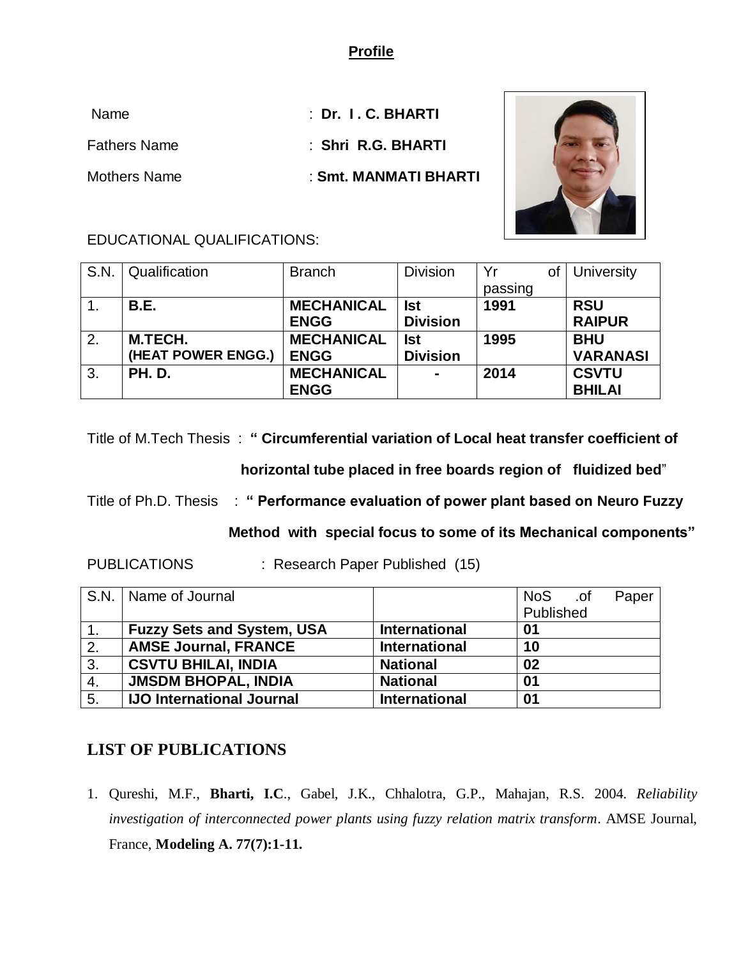### **Profile**

| <b>Name</b>         | $\therefore$ Dr. I.C. BHARTI |  |
|---------------------|------------------------------|--|
| <b>Fathers Name</b> | : Shri R.G. BHARTI           |  |
| <b>Mothers Name</b> | : Smt. MANMATI BHARTI        |  |



#### EDUCATIONAL QUALIFICATIONS:

| S.N. | Qualification      | <b>Branch</b>     | <b>Division</b> | Yr      | University      |
|------|--------------------|-------------------|-----------------|---------|-----------------|
|      |                    |                   |                 | passing |                 |
|      | <b>B.E.</b>        | <b>MECHANICAL</b> | <b>Ist</b>      | 1991    | <b>RSU</b>      |
|      |                    | <b>ENGG</b>       | <b>Division</b> |         | <b>RAIPUR</b>   |
| 2.   | M.TECH.            | <b>MECHANICAL</b> | <b>Ist</b>      | 1995    | <b>BHU</b>      |
|      | (HEAT POWER ENGG.) | <b>ENGG</b>       | <b>Division</b> |         | <b>VARANASI</b> |
| 3.   | <b>PH. D.</b>      | <b>MECHANICAL</b> | $\blacksquare$  | 2014    | <b>CSVTU</b>    |
|      |                    | <b>ENGG</b>       |                 |         | <b>BHILAI</b>   |

Title of M.Tech Thesis : **" Circumferential variation of Local heat transfer coefficient of** 

 **horizontal tube placed in free boards region of fluidized bed**"

Title of Ph.D. Thesis : **" Performance evaluation of power plant based on Neuro Fuzzy**

 **Method with special focus to some of its Mechanical components"**

PUBLICATIONS : Research Paper Published (15)

|    | S.N.   Name of Journal            |                      | <b>NoS</b><br>of. | Paper |
|----|-----------------------------------|----------------------|-------------------|-------|
|    |                                   |                      | Published         |       |
|    | <b>Fuzzy Sets and System, USA</b> | <b>International</b> | 01                |       |
| 2. | <b>AMSE Journal, FRANCE</b>       | <b>International</b> | 10                |       |
| 3. | <b>CSVTU BHILAI, INDIA</b>        | <b>National</b>      | 02                |       |
| 4. | <b>JMSDM BHOPAL, INDIA</b>        | <b>National</b>      | 01                |       |
| 5. | <b>IJO International Journal</b>  | <b>International</b> | 01                |       |

# **LIST OF PUBLICATIONS**

1. Qureshi, M.F., **Bharti, I.C**., Gabel, J.K., Chhalotra, G.P., Mahajan, R.S. 2004. *Reliability investigation of interconnected power plants using fuzzy relation matrix transform*. AMSE Journal, France, **Modeling A. 77(7):1-11.**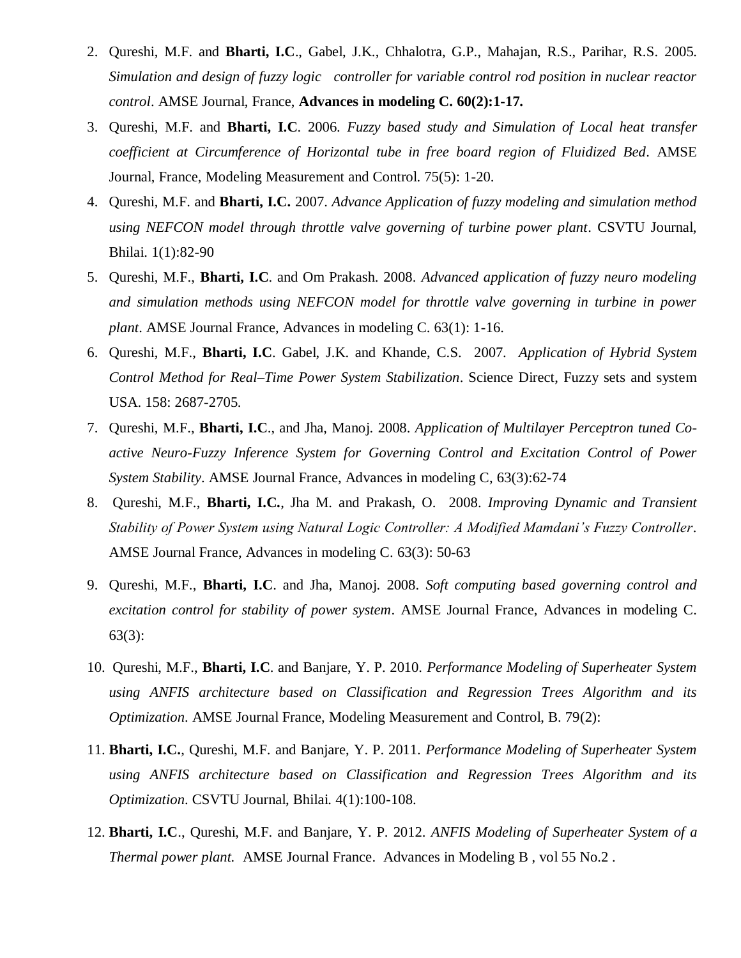- 2. Qureshi, M.F. and **Bharti, I.C**., Gabel, J.K., Chhalotra, G.P., Mahajan, R.S., Parihar, R.S. 2005. *Simulation and design of fuzzy logic controller for variable control rod position in nuclear reactor control*. AMSE Journal, France, **Advances in modeling C. 60(2):1-17.**
- 3. Qureshi, M.F. and **Bharti, I.C**. 2006. *Fuzzy based study and Simulation of Local heat transfer coefficient at Circumference of Horizontal tube in free board region of Fluidized Bed*. AMSE Journal, France, Modeling Measurement and Control. 75(5): 1-20.
- 4. Qureshi, M.F. and **Bharti, I.C.** 2007. *Advance Application of fuzzy modeling and simulation method using NEFCON model through throttle valve governing of turbine power plant*. CSVTU Journal, Bhilai. 1(1):82-90
- 5. Qureshi, M.F., **Bharti, I.C**. and Om Prakash. 2008. *Advanced application of fuzzy neuro modeling and simulation methods using NEFCON model for throttle valve governing in turbine in power plant*. AMSE Journal France, Advances in modeling C. 63(1): 1-16.
- 6. Qureshi, M.F., **Bharti, I.C**. Gabel, J.K. and Khande, C.S. 2007. *Application of Hybrid System Control Method for Real–Time Power System Stabilization*. Science Direct, Fuzzy sets and system USA. 158: 2687-2705.
- 7. Qureshi, M.F., **Bharti, I.C**., and Jha, Manoj. 2008. *Application of Multilayer Perceptron tuned Coactive Neuro-Fuzzy Inference System for Governing Control and Excitation Control of Power System Stability*. AMSE Journal France, Advances in modeling C, 63(3):62-74
- 8. Qureshi, M.F., **Bharti, I.C.**, Jha M. and Prakash, O. 2008. *Improving Dynamic and Transient Stability of Power System using Natural Logic Controller: A Modified Mamdani's Fuzzy Controller*. AMSE Journal France, Advances in modeling C. 63(3): 50-63
- 9. Qureshi, M.F., **Bharti, I.C**. and Jha, Manoj. 2008. *Soft computing based governing control and excitation control for stability of power system*. AMSE Journal France, Advances in modeling C. 63(3):
- 10. Qureshi, M.F., **Bharti, I.C**. and Banjare, Y. P. 2010. *Performance Modeling of Superheater System using ANFIS architecture based on Classification and Regression Trees Algorithm and its Optimization*. AMSE Journal France, Modeling Measurement and Control, B. 79(2):
- 11. **Bharti, I.C.**, Qureshi, M.F. and Banjare, Y. P. 2011. *Performance Modeling of Superheater System using ANFIS architecture based on Classification and Regression Trees Algorithm and its Optimization*. CSVTU Journal, Bhilai. 4(1):100-108.
- 12. **Bharti, I.C**., Qureshi, M.F. and Banjare, Y. P. 2012. *ANFIS Modeling of Superheater System of a Thermal power plant.* AMSE Journal France. Advances in Modeling B , vol 55 No.2 .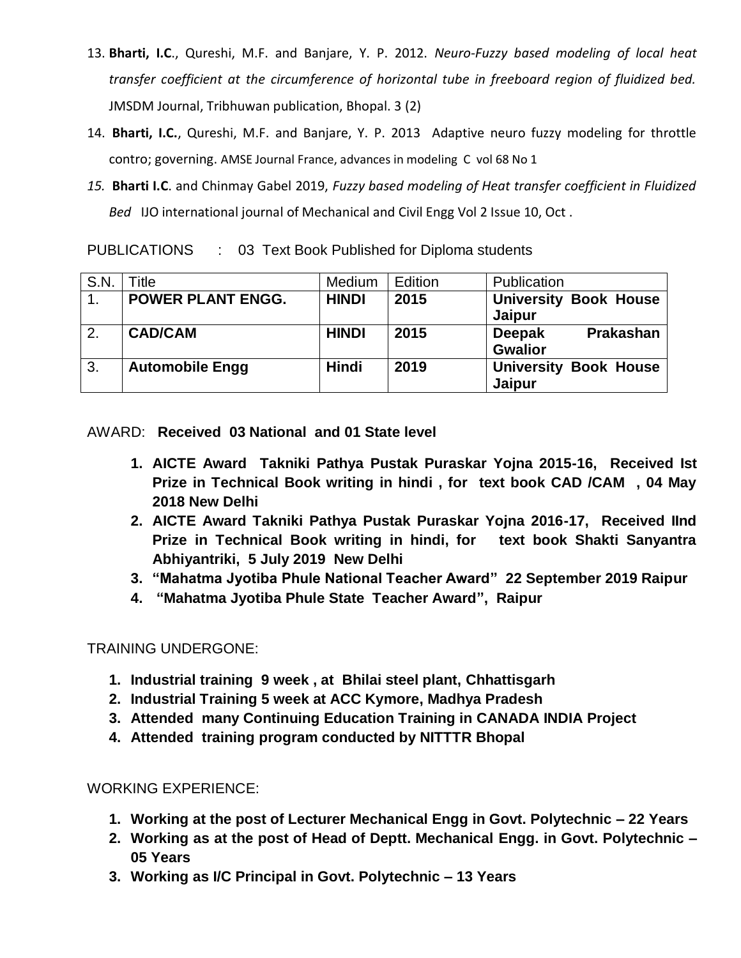- 13. **Bharti, I.C**., Qureshi, M.F. and Banjare, Y. P. 2012. *Neuro-Fuzzy based modeling of local heat transfer coefficient at the circumference of horizontal tube in freeboard region of fluidized bed.* JMSDM Journal, Tribhuwan publication, Bhopal. 3 (2)
- 14. **Bharti, I.C.**, Qureshi, M.F. and Banjare, Y. P. 2013 Adaptive neuro fuzzy modeling for throttle contro; governing. AMSE Journal France, advances in modeling C vol 68 No 1
- *15.* **Bharti I.C**. and Chinmay Gabel 2019, *Fuzzy based modeling of Heat transfer coefficient in Fluidized Bed* IJO international journal of Mechanical and Civil Engg Vol 2 Issue 10, Oct .

PUBLICATIONS : 03 Text Book Published for Diploma students

| S.N.             | ™itle                    | Medium       | Edition | Publication                       |
|------------------|--------------------------|--------------|---------|-----------------------------------|
| $\overline{1}$ . | <b>POWER PLANT ENGG.</b> | <b>HINDI</b> | 2015    | <b>University Book House</b>      |
|                  |                          |              |         | Jaipur                            |
| 2.               | <b>CAD/CAM</b>           | <b>HINDI</b> | 2015    | <b>Prakashan</b><br><b>Deepak</b> |
|                  |                          |              |         | <b>Gwalior</b>                    |
| 3.               | <b>Automobile Engg</b>   | <b>Hindi</b> | 2019    | <b>University Book House</b>      |
|                  |                          |              |         | Jaipur                            |

AWARD: **Received 03 National and 01 State level** 

- **1. AICTE Award Takniki Pathya Pustak Puraskar Yojna 2015-16, Received Ist Prize in Technical Book writing in hindi , for text book CAD /CAM , 04 May 2018 New Delhi**
- **2. AICTE Award Takniki Pathya Pustak Puraskar Yojna 2016-17, Received IInd Prize in Technical Book writing in hindi, for text book Shakti Sanyantra Abhiyantriki, 5 July 2019 New Delhi**
- **3. "Mahatma Jyotiba Phule National Teacher Award" 22 September 2019 Raipur**
- **4. "Mahatma Jyotiba Phule State Teacher Award", Raipur**

## TRAINING UNDERGONE:

- **1. Industrial training 9 week , at Bhilai steel plant, Chhattisgarh**
- **2. Industrial Training 5 week at ACC Kymore, Madhya Pradesh**
- **3. Attended many Continuing Education Training in CANADA INDIA Project**
- **4. Attended training program conducted by NITTTR Bhopal**

WORKING EXPERIENCE:

- **1. Working at the post of Lecturer Mechanical Engg in Govt. Polytechnic – 22 Years**
- **2. Working as at the post of Head of Deptt. Mechanical Engg. in Govt. Polytechnic – 05 Years**
- **3. Working as I/C Principal in Govt. Polytechnic – 13 Years**